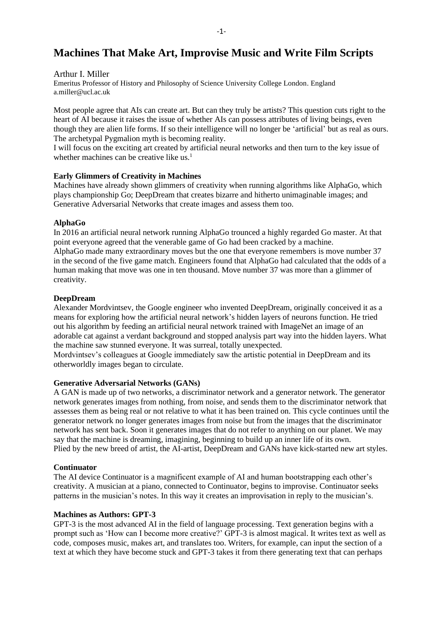# **Machines That Make Art, Improvise Music and Write Film Scripts**

#### Arthur I. Miller

Emeritus Professor of History and Philosophy of Science University College London. England a.miller@ucl.ac.uk

Most people agree that AIs can create art. But can they truly be artists? This question cuts right to the heart of AI because it raises the issue of whether AIs can possess attributes of living beings, even though they are alien life forms. If so their intelligence will no longer be 'artificial' but as real as ours. The archetypal Pygmalion myth is becoming reality.

I will focus on the exciting art created by artificial neural networks and then turn to the key issue of whether machines can be creative like us. $<sup>1</sup>$ </sup>

#### **Early Glimmers of Creativity in Machines**

Machines have already shown glimmers of creativity when running algorithms like AlphaGo, which plays championship Go; DeepDream that creates bizarre and hitherto unimaginable images; and Generative Adversarial Networks that create images and assess them too.

#### **AlphaGo**

In 2016 an artificial neural network running AlphaGo trounced a highly regarded Go master. At that point everyone agreed that the venerable game of Go had been cracked by a machine. AlphaGo made many extraordinary moves but the one that everyone remembers is move number 37 in the second of the five game match. Engineers found that AlphaGo had calculated that the odds of a human making that move was one in ten thousand. Move number 37 was more than a glimmer of creativity.

#### **DeepDream**

Alexander Mordvintsev, the Google engineer who invented DeepDream, originally conceived it as a means for exploring how the artificial neural network's hidden layers of neurons function. He tried out his algorithm by feeding an artificial neural network trained with ImageNet an image of an adorable cat against a verdant background and stopped analysis part way into the hidden layers. What the machine saw stunned everyone. It was surreal, totally unexpected.

Mordvintsev's colleagues at Google immediately saw the artistic potential in DeepDream and its otherworldly images began to circulate.

### **Generative Adversarial Networks (GANs)**

A GAN is made up of two networks, a discriminator network and a generator network. The generator network generates images from nothing, from noise, and sends them to the discriminator network that assesses them as being real or not relative to what it has been trained on. This cycle continues until the generator network no longer generates images from noise but from the images that the discriminator network has sent back. Soon it generates images that do not refer to anything on our planet. We may say that the machine is dreaming, imagining, beginning to build up an inner life of its own. Plied by the new breed of artist, the AI-artist, DeepDream and GANs have kick-started new art styles.

### **Continuator**

The AI device Continuator is a magnificent example of AI and human bootstrapping each other's creativity. A musician at a piano, connected to Continuator, begins to improvise. Continuator seeks patterns in the musician's notes. In this way it creates an improvisation in reply to the musician's.

#### **Machines as Authors: GPT-3**

GPT-3 is the most advanced AI in the field of language processing. Text generation begins with a prompt such as 'How can I become more creative?' GPT-3 is almost magical. It writes text as well as code, composes music, makes art, and translates too. Writers, for example, can input the section of a text at which they have become stuck and GPT-3 takes it from there generating text that can perhaps